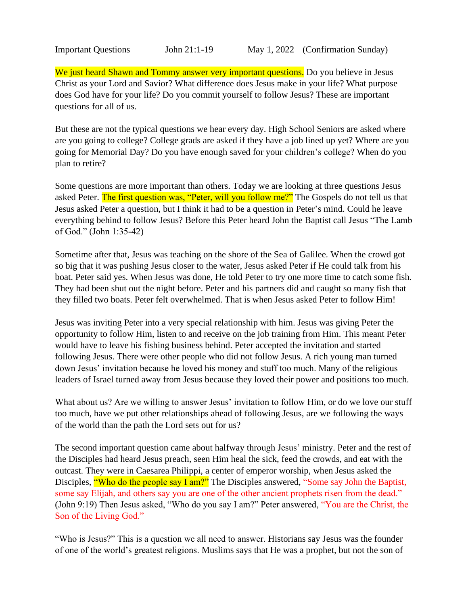We just heard Shawn and Tommy answer very important questions. Do you believe in Jesus Christ as your Lord and Savior? What difference does Jesus make in your life? What purpose does God have for your life? Do you commit yourself to follow Jesus? These are important questions for all of us.

But these are not the typical questions we hear every day. High School Seniors are asked where are you going to college? College grads are asked if they have a job lined up yet? Where are you going for Memorial Day? Do you have enough saved for your children's college? When do you plan to retire?

Some questions are more important than others. Today we are looking at three questions Jesus asked Peter. The first question was, "Peter, will you follow me?" The Gospels do not tell us that Jesus asked Peter a question, but I think it had to be a question in Peter's mind. Could he leave everything behind to follow Jesus? Before this Peter heard John the Baptist call Jesus "The Lamb of God." (John 1:35-42)

Sometime after that, Jesus was teaching on the shore of the Sea of Galilee. When the crowd got so big that it was pushing Jesus closer to the water, Jesus asked Peter if He could talk from his boat. Peter said yes. When Jesus was done, He told Peter to try one more time to catch some fish. They had been shut out the night before. Peter and his partners did and caught so many fish that they filled two boats. Peter felt overwhelmed. That is when Jesus asked Peter to follow Him!

Jesus was inviting Peter into a very special relationship with him. Jesus was giving Peter the opportunity to follow Him, listen to and receive on the job training from Him. This meant Peter would have to leave his fishing business behind. Peter accepted the invitation and started following Jesus. There were other people who did not follow Jesus. A rich young man turned down Jesus' invitation because he loved his money and stuff too much. Many of the religious leaders of Israel turned away from Jesus because they loved their power and positions too much.

What about us? Are we willing to answer Jesus' invitation to follow Him, or do we love our stuff too much, have we put other relationships ahead of following Jesus, are we following the ways of the world than the path the Lord sets out for us?

The second important question came about halfway through Jesus' ministry. Peter and the rest of the Disciples had heard Jesus preach, seen Him heal the sick, feed the crowds, and eat with the outcast. They were in Caesarea Philippi, a center of emperor worship, when Jesus asked the Disciples, "Who do the people say I am?" The Disciples answered, "Some say John the Baptist, some say Elijah, and others say you are one of the other ancient prophets risen from the dead." (John 9:19) Then Jesus asked, "Who do you say I am?" Peter answered, "You are the Christ, the Son of the Living God."

"Who is Jesus?" This is a question we all need to answer. Historians say Jesus was the founder of one of the world's greatest religions. Muslims says that He was a prophet, but not the son of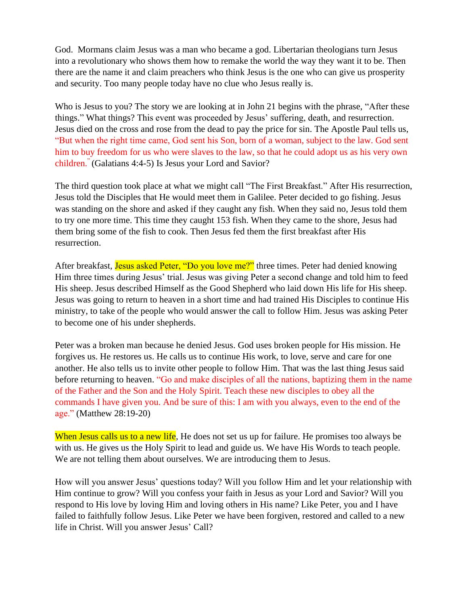God. Mormans claim Jesus was a man who became a god. Libertarian theologians turn Jesus into a revolutionary who shows them how to remake the world the way they want it to be. Then there are the name it and claim preachers who think Jesus is the one who can give us prosperity and security. Too many people today have no clue who Jesus really is.

Who is Jesus to you? The story we are looking at in John 21 begins with the phrase, "After these things." What things? This event was proceeded by Jesus' suffering, death, and resurrection. Jesus died on the cross and rose from the dead to pay the price for sin. The Apostle Paul tells us, "But when the right time came, God sent his Son, born of a woman, subject to the law. God sent him to buy freedom for us who were slaves to the law, so that he could adopt us as his very own children." (Galatians 4:4-5) Is Jesus your Lord and Savior?

The third question took place at what we might call "The First Breakfast." After His resurrection, Jesus told the Disciples that He would meet them in Galilee. Peter decided to go fishing. Jesus was standing on the shore and asked if they caught any fish. When they said no, Jesus told them to try one more time. This time they caught 153 fish. When they came to the shore, Jesus had them bring some of the fish to cook. Then Jesus fed them the first breakfast after His resurrection.

After breakfast, Jesus asked Peter, "Do you love me?" three times. Peter had denied knowing Him three times during Jesus' trial. Jesus was giving Peter a second change and told him to feed His sheep. Jesus described Himself as the Good Shepherd who laid down His life for His sheep. Jesus was going to return to heaven in a short time and had trained His Disciples to continue His ministry, to take of the people who would answer the call to follow Him. Jesus was asking Peter to become one of his under shepherds.

Peter was a broken man because he denied Jesus. God uses broken people for His mission. He forgives us. He restores us. He calls us to continue His work, to love, serve and care for one another. He also tells us to invite other people to follow Him. That was the last thing Jesus said before returning to heaven. "Go and make disciples of all the nations, baptizing them in the name of the Father and the Son and the Holy Spirit. Teach these new disciples to obey all the commands I have given you. And be sure of this: I am with you always, even to the end of the age." (Matthew 28:19-20)

When Jesus calls us to a new life, He does not set us up for failure. He promises too always be with us. He gives us the Holy Spirit to lead and guide us. We have His Words to teach people. We are not telling them about ourselves. We are introducing them to Jesus.

How will you answer Jesus' questions today? Will you follow Him and let your relationship with Him continue to grow? Will you confess your faith in Jesus as your Lord and Savior? Will you respond to His love by loving Him and loving others in His name? Like Peter, you and I have failed to faithfully follow Jesus. Like Peter we have been forgiven, restored and called to a new life in Christ. Will you answer Jesus' Call?